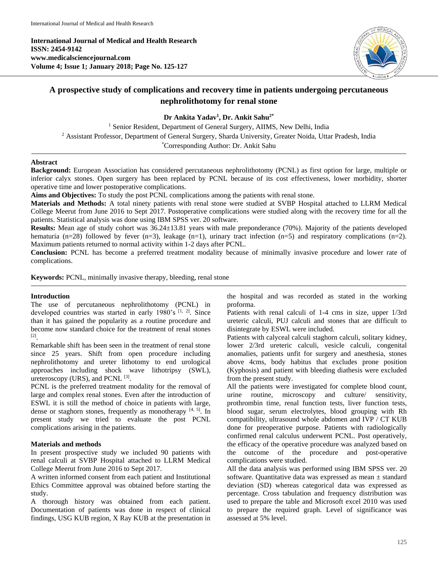**International Journal of Medical and Health Research ISSN: 2454-9142 www.medicalsciencejournal.com Volume 4; Issue 1; January 2018; Page No. 125-127**



# **A prospective study of complications and recovery time in patients undergoing percutaneous nephrolithotomy for renal stone**

**Dr Ankita Yadav<sup>1</sup> , Dr. Ankit Sahu2\***

<sup>1</sup> Senior Resident, Department of General Surgery, AIIMS, New Delhi, India <sup>2</sup> Assistant Professor, Department of General Surgery, Sharda University, Greater Noida, Uttar Pradesh, India \*Corresponding Author: Dr. Ankit Sahu

### **Abstract**

**Background:** European Association has considered percutaneous nephrolithotomy (PCNL) as first option for large, multiple or inferior calyx stones. Open surgery has been replaced by PCNL because of its cost effectiveness, lower morbidity, shorter operative time and lower postoperative complications.

**Aims and Objectives:** To study the post PCNL complications among the patients with renal stone.

**Materials and Methods:** A total ninety patients with renal stone were studied at SVBP Hospital attached to LLRM Medical College Meerut from June 2016 to Sept 2017. Postoperative complications were studied along with the recovery time for all the patients. Statistical analysis was done using IBM SPSS ver. 20 software.

**Results:** Mean age of study cohort was  $36.24 \pm 13.81$  years with male preponderance (70%). Majority of the patients developed hematuria (n=28) followed by fever (n=3), leakage (n=1), urinary tract infection (n=5) and respiratory complications (n=2). Maximum patients returned to normal activity within 1-2 days after PCNL.

**Conclusion:** PCNL has become a preferred treatment modality because of minimally invasive procedure and lower rate of complications.

**Keywords:** PCNL, minimally invasive therapy, bleeding, renal stone

## **Introduction**

The use of percutaneous nephrolithotomy (PCNL) in developed countries was started in early 1980's [1, 2]. Since than it has gained the popularity as a routine procedure and become now standard choice for the treatment of renal stones [2] .

Remarkable shift has been seen in the treatment of renal stone since 25 years. Shift from open procedure including nephrolithotomy and ureter lithotomy to end urological approaches including shock wave lithotripsy (SWL), ureteroscopy (URS), and PCNL  $^{[3]}$ .

PCNL is the preferred treatment modality for the removal of large and complex renal stones. Even after the introduction of ESWL it is still the method of choice in patients with large, dense or staghorn stones, frequently as monotherapy [4, 5]. In present study we tried to evaluate the post PCNL complications arising in the patients.

## **Materials and methods**

In present prospective study we included 90 patients with renal calculi at SVBP Hospital attached to LLRM Medical College Meerut from June 2016 to Sept 2017.

A written informed consent from each patient and Institutional Ethics Committee approval was obtained before starting the study.

A thorough history was obtained from each patient. Documentation of patients was done in respect of clinical findings, USG KUB region, X Ray KUB at the presentation in

the hospital and was recorded as stated in the working proforma.

Patients with renal calculi of 1-4 cms in size, upper 1/3rd ureteric calculi, PUJ calculi and stones that are difficult to disintegrate by ESWL were included.

Patients with calyceal calculi staghorn calculi, solitary kidney, lower 2/3rd ureteric calculi, vesicle calculi, congenital anomalies, patients unfit for surgery and anesthesia, stones above 4cms, body habitus that excludes prone position (Kyphosis) and patient with bleeding diathesis were excluded from the present study.

All the patients were investigated for complete blood count, urine routine, microscopy and culture/ sensitivity, prothrombin time, renal function tests, liver function tests, blood sugar, serum electrolytes, blood grouping with Rh compatibility, ultrasound whole abdomen and IVP / CT KUB done for preoperative purpose. Patients with radiologically confirmed renal calculus underwent PCNL. Post operatively, the efficacy of the operative procedure was analyzed based on the outcome of the procedure and post-operative complications were studied.

All the data analysis was performed using IBM SPSS ver. 20 software. Quantitative data was expressed as mean  $\pm$  standard deviation (SD) whereas categorical data was expressed as percentage. Cross tabulation and frequency distribution was used to prepare the table and Microsoft excel 2010 was used to prepare the required graph. Level of significance was assessed at 5% level.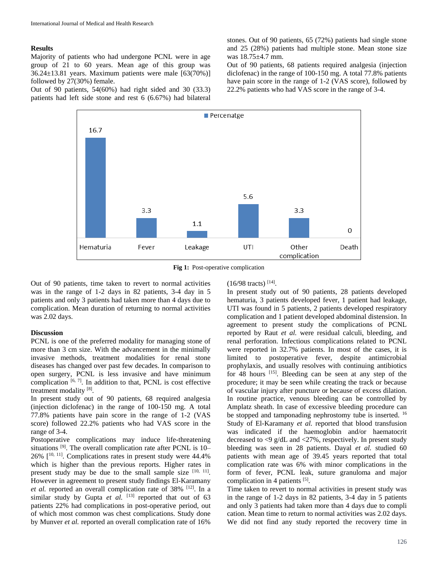#### **Results**

Majority of patients who had undergone PCNL were in age group of 21 to 60 years. Mean age of this group was  $36.24 \pm 13.81$  years. Maximum patients were male  $[63(70\%)]$ followed by 27(30%) female.

Out of 90 patients, 54(60%) had right sided and 30 (33.3) patients had left side stone and rest 6 (6.67%) had bilateral stones. Out of 90 patients, 65 (72%) patients had single stone and 25 (28%) patients had multiple stone. Mean stone size was 18.75±4.7 mm.

Out of 90 patients, 68 patients required analgesia (injection diclofenac) in the range of 100-150 mg. A total 77.8% patients have pain score in the range of 1-2 (VAS score), followed by 22.2% patients who had VAS score in the range of 3-4.



**Fig 1:** Post-operative complication

Out of 90 patients, time taken to revert to normal activities was in the range of 1-2 days in 82 patients, 3-4 day in 5 patients and only 3 patients had taken more than 4 days due to complication. Mean duration of returning to normal activities was 2.02 days.

#### **Discussion**

PCNL is one of the preferred modality for managing stone of more than 3 cm size. With the advancement in the minimally invasive methods, treatment modalities for renal stone diseases has changed over past few decades. In comparison to open surgery, PCNL is less invasive and have minimum complication  $[6, 7]$ . In addition to that, PCNL is cost effective treatment modality [8].

In present study out of 90 patients, 68 required analgesia (injection diclofenac) in the range of 100-150 mg. A total 77.8% patients have pain score in the range of 1-2 (VAS score) followed 22.2% patients who had VAS score in the range of 3-4.

Postoperative complications may induce life-threatening situations<sup>[9]</sup>. The overall complication rate after PCNL is 10– 26% [ 10, 11] . Complications rates in present study were 44.4% which is higher than the previous reports. Higher rates in present study may be due to the small sample size  $[10, 11]$ . However in agreement to present study findings El-Karamany et al. reported an overall complication rate of 38% <sup>[12]</sup>. In a similar study by Gupta *et al.*  $[13]$  reported that out of 63 patients 22% had complications in post-operative period, out of which most common was chest complications. Study done by Munver *et al.* reported an overall complication rate of 16%

 $(16/98 \text{ tracts})$ <sup>[14]</sup>.

In present study out of 90 patients, 28 patients developed hematuria, 3 patients developed fever, 1 patient had leakage, UTI was found in 5 patients, 2 patients developed respiratory complication and 1 patient developed abdominal distension. In agreement to present study the complications of PCNL reported by Raut *et al.* were residual calculi, bleeding, and renal perforation. Infectious complications related to PCNL were reported in 32.7% patients. In most of the cases, it is limited to postoperative fever, despite antimicrobial prophylaxis, and usually resolves with continuing antibiotics for 48 hours <sup>[15]</sup>. Bleeding can be seen at any step of the procedure; it may be seen while creating the track or because of vascular injury after puncture or because of excess dilation. In routine practice, venous bleeding can be controlled by Amplatz sheath. In case of excessive bleeding procedure can be stopped and tamponading nephrostomy tube is inserted. <sup>16</sup> Study of El-Karamany *et al.* reported that blood transfusion was indicated if the haemoglobin and/or haematocrit decreased to <9 g/dL and <27%, respectively. In present study bleeding was seen in 28 patients. Dayal *et al.* studied 60 patients with mean age of 39.45 years reported that total complication rate was 6% with minor complications in the form of fever, PCNL leak, suture granuloma and major complication in 4 patients [5].

Time taken to revert to normal activities in present study was in the range of 1-2 days in 82 patients, 3-4 day in 5 patients and only 3 patients had taken more than 4 days due to compli cation. Mean time to return to normal activities was 2.02 days. We did not find any study reported the recovery time in